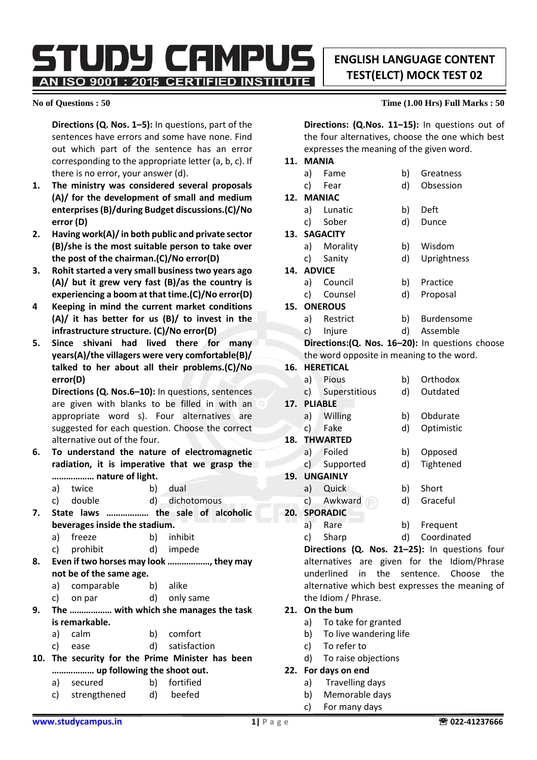**ENGLISH LANGUAGE CONTENT TEST(ELCT) MOCK TEST 02**

STUDY CAMPUS AN ISO 9001 : 2015 CERTIFIED INSTITUTE

**Directions (Q. Nos. 1–5):** In questions, part of the sentences have errors and some have none. Find out which part of the sentence has an error corresponding to the appropriate letter (a, b, c). If there is no error, your answer (d).

- **1. The ministry was considered several proposals (A)/ for the development of small and medium enterprises (B)/during Budget discussions.(C)/No error (D)**
- **2. Having work(A)/ in both public and private sector (B)/she is the most suitable person to take over the post of the chairman.(C)/No error(D)**
- **3. Rohit started a very small business two years ago (A)/ but it grew very fast (B)/as the country is experiencing a boom at that time.(C)/No error(D)**
- **4 Keeping in mind the current market conditions (A)/ it has better for us (B)/ to invest in the infrastructure structure. (C)/No error(D)**
- **5. Since shivani had lived there for many years(A)/the villagers were very comfortable(B)/ talked to her about all their problems.(C)/No error(D)**

**Directions (Q. Nos.6–10):** In questions, sentences are given with blanks to be filled in with an appropriate word s). Four alternatives are suggested for each question. Choose the correct alternative out of the four.

- **6. To understand the nature of electromagnetic radiation, it is imperative that we grasp the ……………… nature of light.**
	- a) twice b) dual
	- c) double d) dichotomous
- **7. State laws ……………… the sale of alcoholic beverages inside the stadium.**
	- a) freeze b) inhibit
	- c) prohibit d) impede
- **8. Even if two horses may look ………………, they may not be of the same age.**
	- a) comparable b) alike
	- c) on par d) only same
- **9. The ……………… with which she manages the task is remarkable.**
	- a) calm b) comfort
	- c) ease d) satisfaction
- **10. The security for the Prime Minister has been ……………… up following the shoot out.**
	- a) secured b) fortified
	- c) strengthened d) beefed

# **No of Questions : 50 Time (1.00 Hrs) Full Marks : 50**

**Directions: (Q.Nos. 11–15):** In questions out of the four alternatives, choose the one which best expresses the meaning of the given word.

# **11. MANIA**

- a) Fame b) Greatness c) Fear d) Obsession
- **12. MANIAC**
	- a) Lunatic b) Deft c) Sober d) Dunce
- **13. SAGACITY**
	- a) Morality b) Wisdom
	- c) Sanity d) Uprightness
- **14. ADVICE**
	- a) Council b) Practice c) Counsel d) Proposal
		-
- **15. ONEROUS**
	- a) Restrict b) Burdensome
	- c) Injure d) Assemble

**Directions:(Q. Nos. 16–20):** In questions choose the word opposite in meaning to the word.

## **16. HERETICAL**

- a) Pious b) Orthodox
- c) Superstitious d) Outdated
- **17. PLIABLE**
	- a) Willing b) Obdurate c) Fake d) Optimistic
	-
- **18. THWARTED**
	- a) Foiled b) Opposed
	- c) Supported d) Tightened
- **19. UNGAINLY**
	- a) Quick b) Short
	- c) Awkward d) Graceful
- **20. SPORADIC**
	- a) Rare b) Frequent
	- c) Sharp d) Coordinated

**Directions (Q. Nos. 21–25):** In questions four alternatives are given for the Idiom/Phrase underlined in the sentence. Choose the alternative which best expresses the meaning of the Idiom / Phrase.

### **21. On the bum**

- a) To take for granted
- b) To live wandering life
- c) To refer to
- d) To raise objections

### **22. For days on end**

- a) Travelling days
- b) Memorable days
- c) For many days
- 
- 
- 
-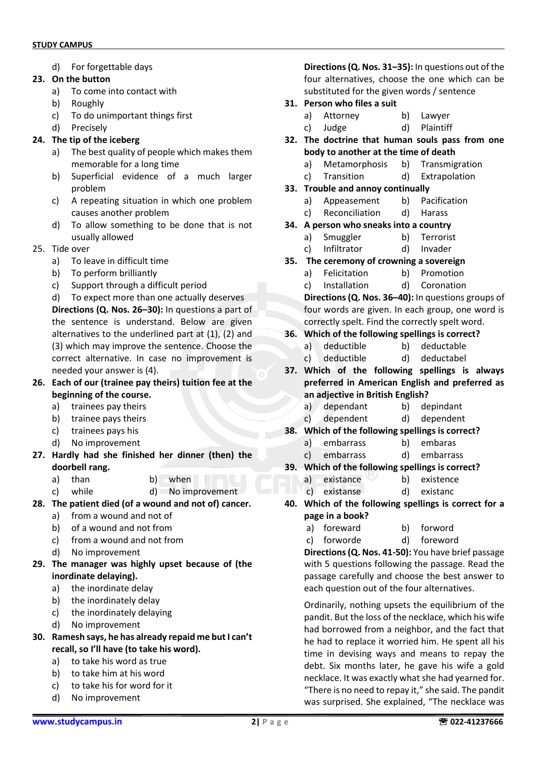d) For forgettable days

### **23. On the button**

- a) To come into contact with
- b) Roughly
- c) To do unimportant things first
- d) Precisely

# **24. The tip of the iceberg**

- a) The best quality of people which makes them memorable for a long time
- b) Superficial evidence of a much larger problem
- c) A repeating situation in which one problem causes another problem
- d) To allow something to be done that is not usually allowed
- 25. Tide over
	- a) To leave in difficult time
	- b) To perform brilliantly
	- c) Support through a difficult period

d) To expect more than one actually deserves **Directions (Q. Nos. 26–30):** In questions a part of the sentence is understand. Below are given alternatives to the underlined part at (1), (2) and (3) which may improve the sentence. Choose the correct alternative. In case no improvement is needed your answer is (4).

- **26. Each of our (trainee pay theirs) tuition fee at the beginning of the course.**
	- a) trainees pay theirs
	- b) trainee pays theirs
	- c) trainees pays his
	- d) No improvement
- **27. Hardly had she finished her dinner (then) the doorbell rang.**
	- a) than b) when
	- c) while d) No improvement
- **28. The patient died (of a wound and not of) cancer.**
	- a) from a wound and not of
	- b) of a wound and not from
	- c) from a wound and not from
	- d) No improvement
- **29. The manager was highly upset because of (the inordinate delaying).**
	- a) the inordinate delay
	- b) the inordinately delay
	- c) the inordinately delaying
	- d) No improvement
- **30. Ramesh says, he has already repaid me but I can't recall, so I'll have (to take his word).**
	- a) to take his word as true
	- b) to take him at his word
	- c) to take his for word for it
	- d) No improvement

**Directions(Q. Nos. 31–35):** In questions out of the four alternatives, choose the one which can be substituted for the given words / sentence

- **31. Person who files a suit**
	- a) Attorney b) Lawyer
	- c) Judge d) Plaintiff
- **32. The doctrine that human souls pass from one body to another at the time of death**
	- a) Metamorphosis b) Transmigration
	- c) Transition d) Extrapolation
- **33. Trouble and annoy continually**
	- a) Appeasement b) Pacification
	- c) Reconciliation d) Harass
- **34. A person who sneaks into a country**
	- a) Smuggler b) Terrorist
	- c) Infiltrator d) Invader
- **35. The ceremony of crowning a sovereign**
	- a) Felicitation b) Promotion
	- c) Installation d) Coronation

**Directions(Q. Nos. 36–40):** In questions groups of four words are given. In each group, one word is correctly spelt. Find the correctly spelt word.

- **36. Which of the following spellings is correct?**
	- a) deductible b) deductable
	- c) deductible d) deductabel
- **37. Which of the following spellings is always preferred in American English and preferred as an adjective in British English?**
	- a) dependant b) depindant
	- c) dependent d) dependent
- **38. Which of the following spellings is correct?**
	- a) embarrass b) embaras
	- c) embarrass d) embarrass
- **39. Which of the following spellings is correct?**
	- a) existance b) existence
	- c) existanse d) existanc
- **40. Which of the following spellings is correct for a page in a book?**
	- a) foreward b) forword
		- c) forworde d) foreword

**Directions (Q. Nos. 41-50):** You have brief passage with 5 questions following the passage. Read the passage carefully and choose the best answer to each question out of the four alternatives.

Ordinarily, nothing upsets the equilibrium of the pandit. But the loss of the necklace, which his wife had borrowed from a neighbor, and the fact that he had to replace it worried him. He spent all his time in devising ways and means to repay the debt. Six months later, he gave his wife a gold necklace. It was exactly what she had yearned for. "There is no need to repay it," she said. The pandit was surprised. She explained, "The necklace was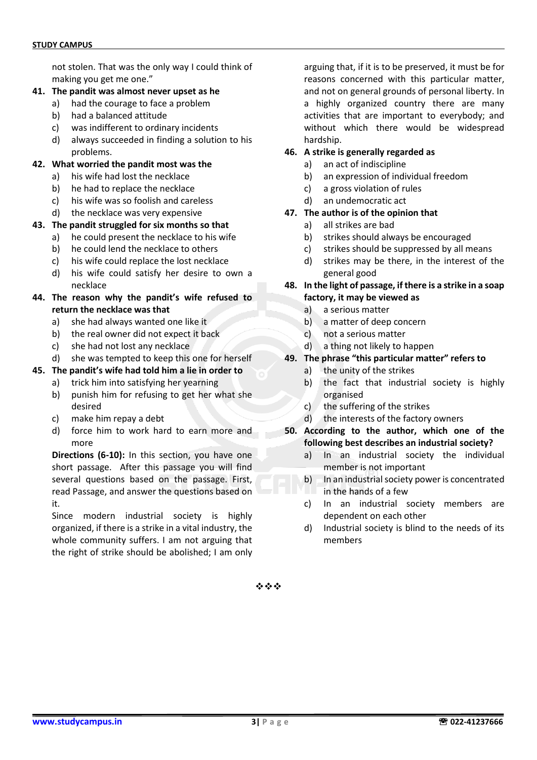not stolen. That was the only way I could think of making you get me one."

- **41. The pandit was almost never upset as he**
	- a) had the courage to face a problem
	- b) had a balanced attitude
	- c) was indifferent to ordinary incidents
	- d) always succeeded in finding a solution to his problems.

#### **42. What worried the pandit most was the**

- a) his wife had lost the necklace
- b) he had to replace the necklace
- c) his wife was so foolish and careless
- d) the necklace was very expensive

#### **43. The pandit struggled for six months so that**

- a) he could present the necklace to his wife
- b) he could lend the necklace to others
- c) his wife could replace the lost necklace
- d) his wife could satisfy her desire to own a necklace
- **44. The reason why the pandit's wife refused to return the necklace was that**
	- a) she had always wanted one like it
	- b) the real owner did not expect it back
	- c) she had not lost any necklace
	- d) she was tempted to keep this one for herself

### **45. The pandit's wife had told him a lie in order to**

- a) trick him into satisfying her yearning
- b) punish him for refusing to get her what she desired
- c) make him repay a debt
- d) force him to work hard to earn more and more

**Directions (6-10):** In this section, you have one short passage. After this passage you will find several questions based on the passage. First, read Passage, and answer the questions based on it.

Since modern industrial society is highly organized, if there is a strike in a vital industry, the whole community suffers. I am not arguing that the right of strike should be abolished; I am only arguing that, if it is to be preserved, it must be for reasons concerned with this particular matter, and not on general grounds of personal liberty. In a highly organized country there are many activities that are important to everybody; and without which there would be widespread hardship.

#### **46. A strike is generally regarded as**

- a) an act of indiscipline
- b) an expression of individual freedom
- c) a gross violation of rules
- d) an undemocratic act

#### **47. The author is of the opinion that**

- a) all strikes are bad
- b) strikes should always be encouraged
- c) strikes should be suppressed by all means
- d) strikes may be there, in the interest of the general good

#### **48. In the light of passage, if there is a strike in a soap factory, it may be viewed as**

- a) a serious matter
- b) a matter of deep concern
- c) not a serious matter
- d) a thing not likely to happen

#### **49. The phrase "this particular matter" refers to**

- a) the unity of the strikes
- b) the fact that industrial society is highly organised
- c) the suffering of the strikes
- d) the interests of the factory owners

#### **50. According to the author, which one of the following best describes an industrial society?**

- a) In an industrial society the individual member is not important
- b) In an industrial society power is concentrated in the hands of a few
- c) In an industrial society members are dependent on each other
- d) Industrial society is blind to the needs of its members

❖❖❖